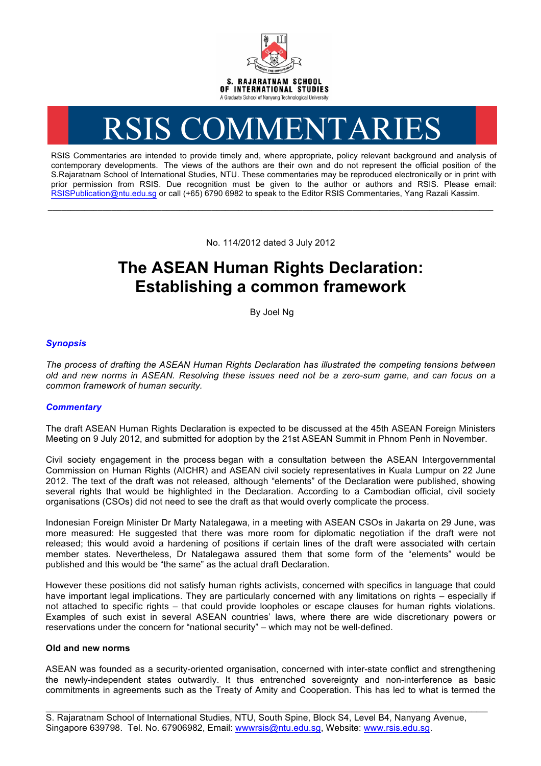

# RSIS COMMENTARIES

RSIS Commentaries are intended to provide timely and, where appropriate, policy relevant background and analysis of contemporary developments. The views of the authors are their own and do not represent the official position of the S.Rajaratnam School of International Studies, NTU. These commentaries may be reproduced electronically or in print with prior permission from RSIS. Due recognition must be given to the author or authors and RSIS. Please email: RSISPublication@ntu.edu.sg or call (+65) 6790 6982 to speak to the Editor RSIS Commentaries, Yang Razali Kassim.

No. 114/2012 dated 3 July 2012

**\_\_\_\_\_\_\_\_\_\_\_\_\_\_\_\_\_\_\_\_\_\_\_\_\_\_\_\_\_\_\_\_\_\_\_\_\_\_\_\_\_\_\_\_\_\_\_\_\_\_\_\_\_\_\_\_\_\_\_\_\_\_\_\_\_\_\_\_\_\_\_\_\_\_\_\_\_\_\_\_\_\_\_\_\_\_\_\_\_\_\_\_\_\_\_\_\_\_**

# **The ASEAN Human Rights Declaration: Establishing a common framework**

By Joel Ng

## *Synopsis*

*The process of drafting the ASEAN Human Rights Declaration has illustrated the competing tensions between old and new norms in ASEAN. Resolving these issues need not be a zero-sum game, and can focus on a common framework of human security.*

### *Commentary*

The draft ASEAN Human Rights Declaration is expected to be discussed at the 45th ASEAN Foreign Ministers Meeting on 9 July 2012, and submitted for adoption by the 21st ASEAN Summit in Phnom Penh in November.

Civil society engagement in the process began with a consultation between the ASEAN Intergovernmental Commission on Human Rights (AICHR) and ASEAN civil society representatives in Kuala Lumpur on 22 June 2012. The text of the draft was not released, although "elements" of the Declaration were published, showing several rights that would be highlighted in the Declaration. According to a Cambodian official, civil society organisations (CSOs) did not need to see the draft as that would overly complicate the process.

Indonesian Foreign Minister Dr Marty Natalegawa, in a meeting with ASEAN CSOs in Jakarta on 29 June, was more measured: He suggested that there was more room for diplomatic negotiation if the draft were not released; this would avoid a hardening of positions if certain lines of the draft were associated with certain member states. Nevertheless, Dr Natalegawa assured them that some form of the "elements" would be published and this would be "the same" as the actual draft Declaration.

However these positions did not satisfy human rights activists, concerned with specifics in language that could have important legal implications. They are particularly concerned with any limitations on rights – especially if not attached to specific rights – that could provide loopholes or escape clauses for human rights violations. Examples of such exist in several ASEAN countries' laws, where there are wide discretionary powers or reservations under the concern for "national security" – which may not be well-defined.

#### **Old and new norms**

ASEAN was founded as a security-oriented organisation, concerned with inter-state conflict and strengthening the newly-independent states outwardly. It thus entrenched sovereignty and non-interference as basic commitments in agreements such as the Treaty of Amity and Cooperation. This has led to what is termed the